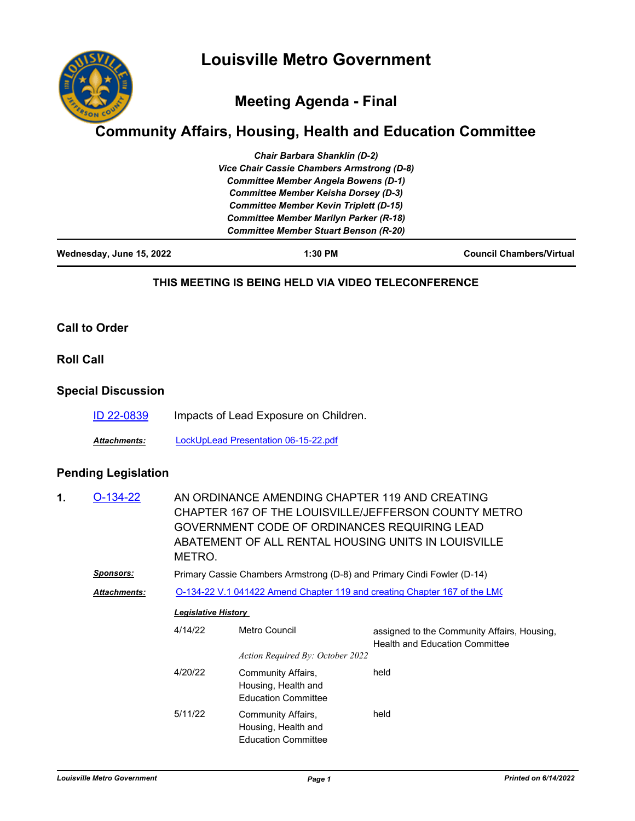

# **Meeting Agenda - Final**

## **Community Affairs, Housing, Health and Education Committee**

| <b>Chair Barbara Shanklin (D-2)</b>               |
|---------------------------------------------------|
| <b>Vice Chair Cassie Chambers Armstrong (D-8)</b> |
| <b>Committee Member Angela Bowens (D-1)</b>       |
| <b>Committee Member Keisha Dorsey (D-3)</b>       |
| <b>Committee Member Kevin Triplett (D-15)</b>     |
| <b>Committee Member Marilyn Parker (R-18)</b>     |
| <b>Committee Member Stuart Benson (R-20)</b>      |

#### **THIS MEETING IS BEING HELD VIA VIDEO TELECONFERENCE**

#### **Call to Order**

**Roll Call**

### **Special Discussion**

[ID 22-0839](http://louisville.legistar.com/gateway.aspx?m=l&id=/matter.aspx?key=60789) Impacts of Lead Exposure on Children.

*Attachments:* [LockUpLead Presentation 06-15-22.pdf](http://louisville.legistar.com/gateway.aspx?M=F&ID=5999e1b0-80f0-4972-b857-53afbf0de996.pdf)

## **Pending Legislation**

| 1. | $O-134-22$          | AN ORDINANCE AMENDING CHAPTER 119 AND CREATING<br>CHAPTER 167 OF THE LOUISVILLE/JEFFERSON COUNTY METRO<br>GOVERNMENT CODE OF ORDINANCES REQUIRING LEAD<br>ABATEMENT OF ALL RENTAL HOUSING UNITS IN LOUISVILLE<br>METRO. |                                                                         |                                                                                      |  |  |
|----|---------------------|-------------------------------------------------------------------------------------------------------------------------------------------------------------------------------------------------------------------------|-------------------------------------------------------------------------|--------------------------------------------------------------------------------------|--|--|
|    | <u>Sponsors:</u>    | Primary Cassie Chambers Armstrong (D-8) and Primary Cindi Fowler (D-14)                                                                                                                                                 |                                                                         |                                                                                      |  |  |
|    | <b>Attachments:</b> | O-134-22 V.1 041422 Amend Chapter 119 and creating Chapter 167 of the LMC                                                                                                                                               |                                                                         |                                                                                      |  |  |
|    |                     | <b>Legislative History</b>                                                                                                                                                                                              |                                                                         |                                                                                      |  |  |
|    |                     | 4/14/22                                                                                                                                                                                                                 | Metro Council                                                           | assigned to the Community Affairs, Housing,<br><b>Health and Education Committee</b> |  |  |
|    |                     |                                                                                                                                                                                                                         | Action Required By: October 2022                                        |                                                                                      |  |  |
|    |                     | 4/20/22                                                                                                                                                                                                                 | Community Affairs,<br>Housing, Health and<br><b>Education Committee</b> | held                                                                                 |  |  |
|    |                     | 5/11/22                                                                                                                                                                                                                 | Community Affairs,<br>Housing, Health and<br><b>Education Committee</b> | held                                                                                 |  |  |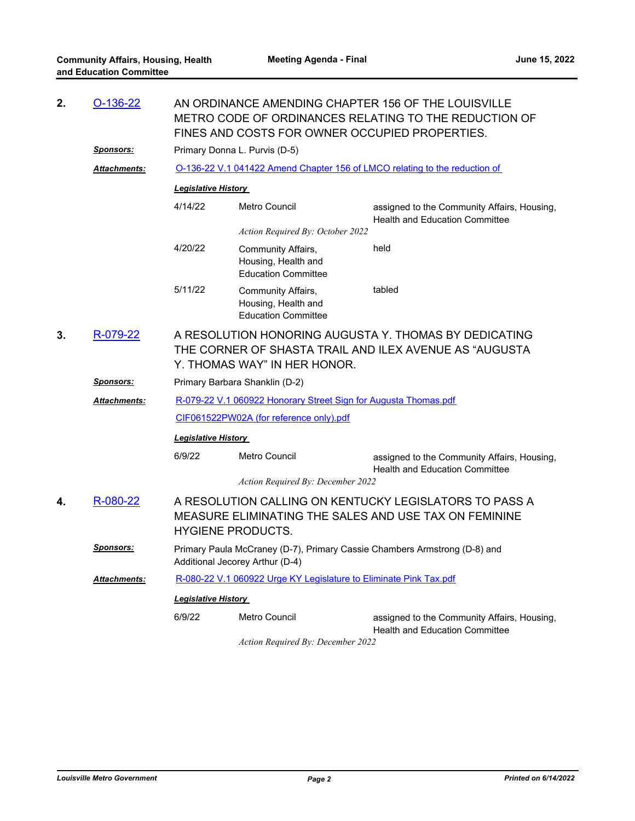| 2. | $O-136-22$          | AN ORDINANCE AMENDING CHAPTER 156 OF THE LOUISVILLE<br>METRO CODE OF ORDINANCES RELATING TO THE REDUCTION OF<br>FINES AND COSTS FOR OWNER OCCUPIED PROPERTIES.                   |                                                                         |                                                                                      |  |  |  |  |
|----|---------------------|----------------------------------------------------------------------------------------------------------------------------------------------------------------------------------|-------------------------------------------------------------------------|--------------------------------------------------------------------------------------|--|--|--|--|
|    | <u>Sponsors:</u>    | Primary Donna L. Purvis (D-5)                                                                                                                                                    |                                                                         |                                                                                      |  |  |  |  |
|    | Attachments:        | O-136-22 V.1 041422 Amend Chapter 156 of LMCO relating to the reduction of                                                                                                       |                                                                         |                                                                                      |  |  |  |  |
|    |                     | <b>Legislative History</b>                                                                                                                                                       |                                                                         |                                                                                      |  |  |  |  |
|    |                     | 4/14/22                                                                                                                                                                          | <b>Metro Council</b>                                                    | assigned to the Community Affairs, Housing,<br><b>Health and Education Committee</b> |  |  |  |  |
|    |                     | Action Required By: October 2022                                                                                                                                                 |                                                                         |                                                                                      |  |  |  |  |
|    |                     | 4/20/22                                                                                                                                                                          | Community Affairs,<br>Housing, Health and<br><b>Education Committee</b> | held                                                                                 |  |  |  |  |
|    |                     | 5/11/22                                                                                                                                                                          | Community Affairs,<br>Housing, Health and<br><b>Education Committee</b> | tabled                                                                               |  |  |  |  |
| 3. | R-079-22            | A RESOLUTION HONORING AUGUSTA Y. THOMAS BY DEDICATING<br>THE CORNER OF SHASTA TRAIL AND ILEX AVENUE AS "AUGUSTA<br>Y. THOMAS WAY" IN HER HONOR.                                  |                                                                         |                                                                                      |  |  |  |  |
|    | <u>Sponsors:</u>    | Primary Barbara Shanklin (D-2)                                                                                                                                                   |                                                                         |                                                                                      |  |  |  |  |
|    | <b>Attachments:</b> | R-079-22 V.1 060922 Honorary Street Sign for Augusta Thomas.pdf                                                                                                                  |                                                                         |                                                                                      |  |  |  |  |
|    |                     | CIF061522PW02A (for reference only).pdf                                                                                                                                          |                                                                         |                                                                                      |  |  |  |  |
|    |                     | <b>Legislative History</b>                                                                                                                                                       |                                                                         |                                                                                      |  |  |  |  |
|    |                     | 6/9/22                                                                                                                                                                           | Metro Council                                                           | assigned to the Community Affairs, Housing,<br><b>Health and Education Committee</b> |  |  |  |  |
| 4. | R-080-22            | Action Required By: December 2022<br>A RESOLUTION CALLING ON KENTUCKY LEGISLATORS TO PASS A<br>MEASURE ELIMINATING THE SALES AND USE TAX ON FEMININE<br><b>HYGIENE PRODUCTS.</b> |                                                                         |                                                                                      |  |  |  |  |
|    | <u> Sponsors:</u>   | Primary Paula McCraney (D-7), Primary Cassie Chambers Armstrong (D-8) and<br>Additional Jecorey Arthur (D-4)                                                                     |                                                                         |                                                                                      |  |  |  |  |
|    | <b>Attachments:</b> | R-080-22 V.1 060922 Urge KY Legislature to Eliminate Pink Tax.pdf                                                                                                                |                                                                         |                                                                                      |  |  |  |  |
|    |                     | <b>Legislative History</b>                                                                                                                                                       |                                                                         |                                                                                      |  |  |  |  |
|    |                     | 6/9/22                                                                                                                                                                           | <b>Metro Council</b>                                                    | assigned to the Community Affairs, Housing,<br><b>Health and Education Committee</b> |  |  |  |  |

*Action Required By: December 2022*